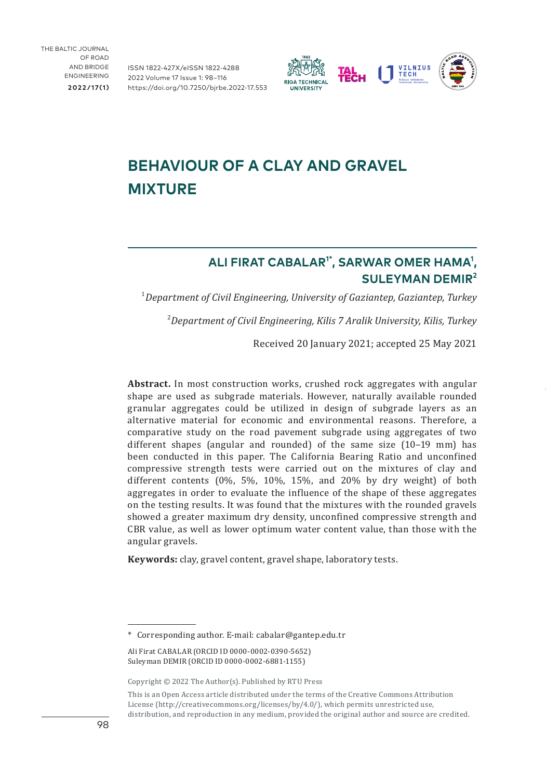ISSN 1822-427X/eISSN 1822-4288 2022 Volume 17 Issue 1: 98–116 [https://doi.org/10.7250/bjrbe.2022-17.55](https://doi.org/10.7250/bjrbe.2022-17.553)3



# **BEHAVIOUR OF A CLAY AND GRAVEL MIXTURE**

## **ALI FIRAT CABALAR1\*, SARWAR OMER HAMA1 , SULEYMAN DEMIR<sup>2</sup>**

1 *Department of Civil Engineering, University of Gaziantep, Gaziantep, Turkey*

2 *Department of Civil Engineering, Kilis 7 Aralik University, Kilis, Turkey*

Received 20 January 2021; accepted 25 May 2021

**Abstract.** In most construction works, crushed rock aggregates with angular shape are used as subgrade materials. However, naturally available rounded granular aggregates could be utilized in design of subgrade layers as an alternative material for economic and environmental reasons. Therefore, a comparative study on the road pavement subgrade using aggregates of two different shapes (angular and rounded) of the same size (10–19 mm) has been conducted in this paper. The California Bearing Ratio and unconfined compressive strength tests were carried out on the mixtures of clay and different contents (0%, 5%, 10%, 15%, and 20% by dry weight) of both aggregates in order to evaluate the influence of the shape of these aggregates on the testing results. It was found that the mixtures with the rounded gravels showed a greater maximum dry density, unconfined compressive strength and CBR value, as well as lower optimum water content value, than those with the angular gravels.

**Keywords:** clay, gravel content, gravel shape, laboratory tests.

<sup>\*</sup> Corresponding author. E-mail: [cabalar@gantep.edu.tr](mailto:cabalar@gantep.edu.tr)

Ali Firat CABALAR ([ORCID ID 0000-0002-0390-5652](https://orcid.org/0000-0002-0390-5652)) Suleyman DEMIR [\(ORCID ID 0000-0002-6881-1155](https://orcid.org/0000-0002-6881-1155))

Copyright © 2022 The Author(s). Published by RTU Press

This is an Open Access article distributed under the terms of the Creative Commons Attribution License (<http://creativecommons.org/licenses/by/4.0/>), which permits unrestricted use, distribution, and reproduction in any medium, provided the original author and source are credited.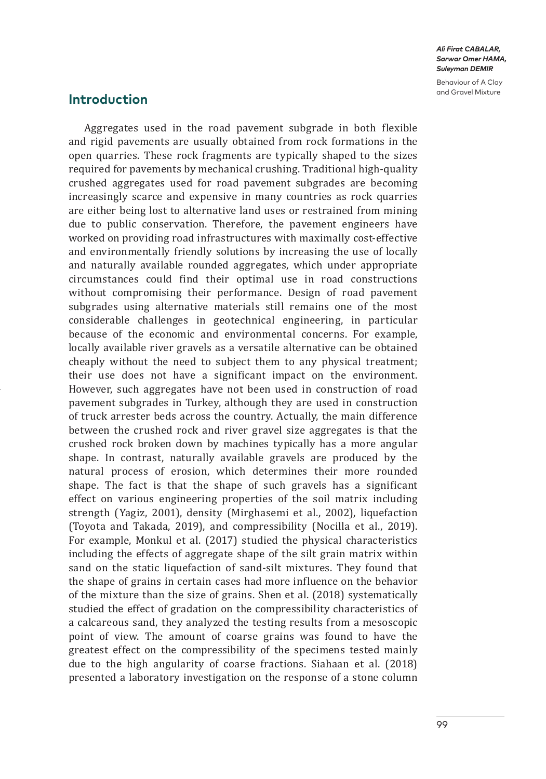Behaviour of A Clay

# **Introduction**

Aggregates used in the road pavement subgrade in both flexible and rigid pavements are usually obtained from rock formations in the open quarries. These rock fragments are typically shaped to the sizes required for pavements by mechanical crushing. Traditional high-quality crushed aggregates used for road pavement subgrades are becoming increasingly scarce and expensive in many countries as rock quarries are either being lost to alternative land uses or restrained from mining due to public conservation. Therefore, the pavement engineers have worked on providing road infrastructures with maximally cost-effective and environmentally friendly solutions by increasing the use of locally and naturally available rounded aggregates, which under appropriate circumstances could find their optimal use in road constructions without compromising their performance. Design of road pavement subgrades using alternative materials still remains one of the most considerable challenges in geotechnical engineering, in particular because of the economic and environmental concerns. For example, locally available river gravels as a versatile alternative can be obtained cheaply without the need to subject them to any physical treatment; their use does not have a significant impact on the environment. However, such aggregates have not been used in construction of road pavement subgrades in Turkey, although they are used in construction of truck arrester beds across the country. Actually, the main difference between the crushed rock and river gravel size aggregates is that the crushed rock broken down by machines typically has a more angular shape. In contrast, naturally available gravels are produced by the natural process of erosion, which determines their more rounded shape. The fact is that the shape of such gravels has a significant effect on various engineering properties of the soil matrix including strength (Yagiz, 2001), density (Mirghasemi et al., 2002), liquefaction (Toyota and Takada, 2019), and compressibility (Nocilla et al., 2019). For example, Monkul et al. (2017) studied the physical characteristics including the effects of aggregate shape of the silt grain matrix within sand on the static liquefaction of sand-silt mixtures. They found that the shape of grains in certain cases had more influence on the behavior of the mixture than the size of grains. Shen et al. (2018) systematically studied the effect of gradation on the compressibility characteristics of a calcareous sand, they analyzed the testing results from a mesoscopic point of view. The amount of coarse grains was found to have the greatest effect on the compressibility of the specimens tested mainly due to the high angularity of coarse fractions. Siahaan et al. (2018) presented a laboratory investigation on the response of a stone column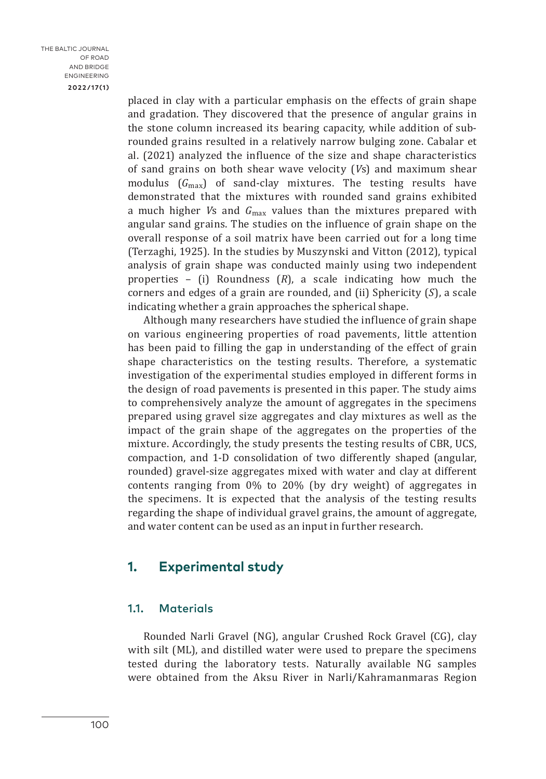**2022/17(1)**

placed in clay with a particular emphasis on the effects of grain shape and gradation. They discovered that the presence of angular grains in the stone column increased its bearing capacity, while addition of subrounded grains resulted in a relatively narrow bulging zone. Cabalar et al. (2021) analyzed the influence of the size and shape characteristics of sand grains on both shear wave velocity (*V*s) and maximum shear modulus (*G*max) of sand-clay mixtures. The testing results have demonstrated that the mixtures with rounded sand grains exhibited a much higher *V*s and *G*max values than the mixtures prepared with angular sand grains. The studies on the influence of grain shape on the overall response of a soil matrix have been carried out for a long time (Terzaghi, 1925). In the studies by Muszynski and Vitton (2012), typical analysis of grain shape was conducted mainly using two independent properties – (i) Roundness (*R*), a scale indicating how much the corners and edges of a grain are rounded, and (ii) Sphericity (*S*), a scale indicating whether a grain approaches the spherical shape.

Although many researchers have studied the influence of grain shape on various engineering properties of road pavements, little attention has been paid to filling the gap in understanding of the effect of grain shape characteristics on the testing results. Therefore, a systematic investigation of the experimental studies employed in different forms in the design of road pavements is presented in this paper. The study aims to comprehensively analyze the amount of aggregates in the specimens prepared using gravel size aggregates and clay mixtures as well as the impact of the grain shape of the aggregates on the properties of the mixture. Accordingly, the study presents the testing results of CBR, UCS, compaction, and 1-D consolidation of two differently shaped (angular, rounded) gravel-size aggregates mixed with water and clay at different contents ranging from 0% to 20% (by dry weight) of aggregates in the specimens. It is expected that the analysis of the testing results regarding the shape of individual gravel grains, the amount of aggregate, and water content can be used as an input in further research.

# **1. Experimental study**

### 1.1. Materials

Rounded Narli Gravel (NG), angular Crushed Rock Gravel (CG), clay with silt (ML), and distilled water were used to prepare the specimens tested during the laboratory tests. Naturally available NG samples were obtained from the Aksu River in Narli/Kahramanmaras Region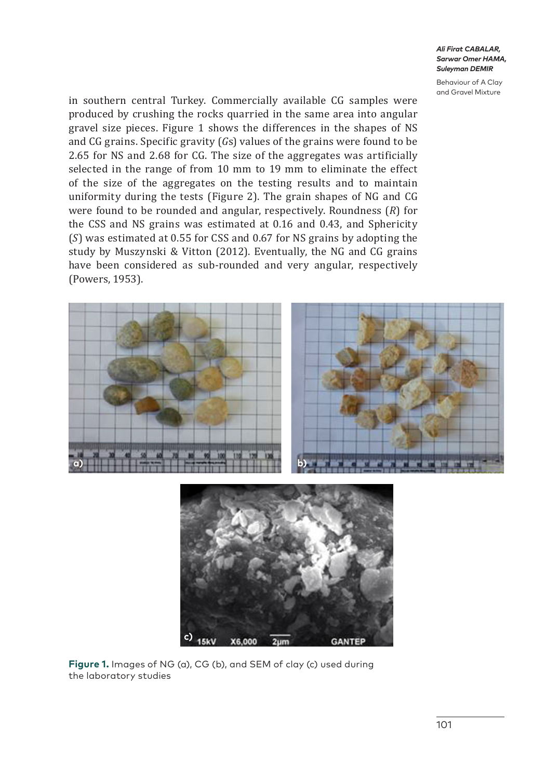Behaviour of A Clay and Gravel Mixture

in southern central Turkey. Commercially available CG samples were produced by crushing the rocks quarried in the same area into angular gravel size pieces. Figure 1 shows the differences in the shapes of NS and CG grains. Specific gravity (*G*s) values of the grains were found to be 2.65 for NS and 2.68 for CG. The size of the aggregates was artificially selected in the range of from 10 mm to 19 mm to eliminate the effect of the size of the aggregates on the testing results and to maintain uniformity during the tests (Figure 2). The grain shapes of NG and CG were found to be rounded and angular, respectively. Roundness (*R*) for the CSS and NS grains was estimated at 0.16 and 0.43, and Sphericity (*S*) was estimated at 0.55 for CSS and 0.67 for NS grains by adopting the study by Muszynski & Vitton (2012). Eventually, the NG and CG grains have been considered as sub-rounded and very angular, respectively (Powers, 1953).



**Figure 1.** Images of NG (a), CG (b), and SEM of clay (c) used during the laboratory studies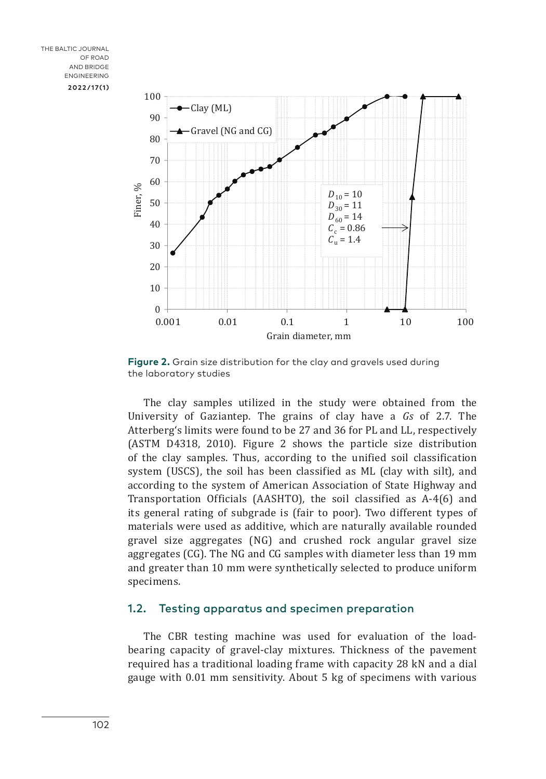

**Figure 2.** Grain size distribution for the clay and gravels used during the laboratory studies

The clay samples utilized in the study were obtained from the University of Gaziantep. The grains of clay have a *Gs* of 2.7. The Atterberg's limits were found to be 27 and 36 for PL and LL, respectively (ASTM D4318, 2010). Figure 2 shows the particle size distribution of the clay samples. Thus, according to the unified soil classification system (USCS), the soil has been classified as ML (clay with silt), and according to the system of American Association of State Highway and Transportation Officials (AASHTO), the soil classified as A-4(6) and its general rating of subgrade is (fair to poor). Two different types of materials were used as additive, which are naturally available rounded gravel size aggregates (NG) and crushed rock angular gravel size aggregates (CG). The NG and CG samples with diameter less than 19 mm and greater than 10 mm were synthetically selected to produce uniform specimens.

### 1.2. Testing apparatus and specimen preparation

The CBR testing machine was used for evaluation of the loadbearing capacity of gravel-clay mixtures. Thickness of the pavement required has a traditional loading frame with capacity 28 kN and a dial gauge with 0.01 mm sensitivity. About 5 kg of specimens with various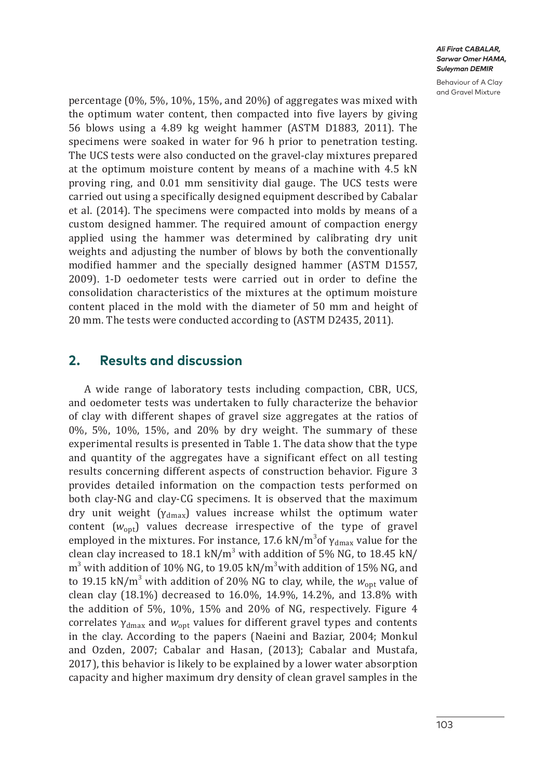Behaviour of A Clay and Gravel Mixture

percentage (0%, 5%, 10%, 15%, and 20%) of aggregates was mixed with the optimum water content, then compacted into five layers by giving 56 blows using a 4.89 kg weight hammer (ASTM D1883, 2011). The specimens were soaked in water for 96 h prior to penetration testing. The UCS tests were also conducted on the gravel-clay mixtures prepared at the optimum moisture content by means of a machine with 4.5 kN proving ring, and 0.01 mm sensitivity dial gauge. The UCS tests were carried out using a specifically designed equipment described by Cabalar et al. (2014). The specimens were compacted into molds by means of a custom designed hammer. The required amount of compaction energy applied using the hammer was determined by calibrating dry unit weights and adjusting the number of blows by both the conventionally modified hammer and the specially designed hammer (ASTM D1557, 2009). 1-D oedometer tests were carried out in order to define the consolidation characteristics of the mixtures at the optimum moisture content placed in the mold with the diameter of 50 mm and height of 20 mm. The tests were conducted according to (ASTM D2435, 2011).

## **2. Results and discussion**

A wide range of laboratory tests including compaction, CBR, UCS, and oedometer tests was undertaken to fully characterize the behavior of clay with different shapes of gravel size aggregates at the ratios of 0%, 5%, 10%, 15%, and 20% by dry weight. The summary of these experimental results is presented in Table 1. The data show that the type and quantity of the aggregates have a significant effect on all testing results concerning different aspects of construction behavior. Figure 3 provides detailed information on the compaction tests performed on both clay-NG and clay-CG specimens. It is observed that the maximum dry unit weight ( $\gamma_{\text{dmax}}$ ) values increase whilst the optimum water content  $(w_{\text{out}})$  values decrease irrespective of the type of gravel employed in the mixtures. For instance, 17.6 kN/m<sup>3</sup>of  $\gamma_{\rm dmax}$  value for the clean clay increased to 18.1 kN/m<sup>3</sup> with addition of 5% NG, to 18.45 kN/ m<sup>3</sup> with addition of 10% NG, to 19.05 kN/m<sup>3</sup>with addition of 15% NG, and to 19.15 kN/m<sup>3</sup> with addition of 20% NG to clay, while, the  $w_{\rm opt}$  value of clean clay (18.1%) decreased to 16.0%, 14.9%, 14.2%, and 13.8% with the addition of 5%, 10%, 15% and 20% of NG, respectively. Figure 4 correlates γdmax and *w*opt values for different gravel types and contents in the clay. According to the papers (Naeini and Baziar, 2004; Monkul and Ozden, 2007; Cabalar and Hasan, (2013); Cabalar and Mustafa, 2017), this behavior is likely to be explained by a lower water absorption capacity and higher maximum dry density of clean gravel samples in the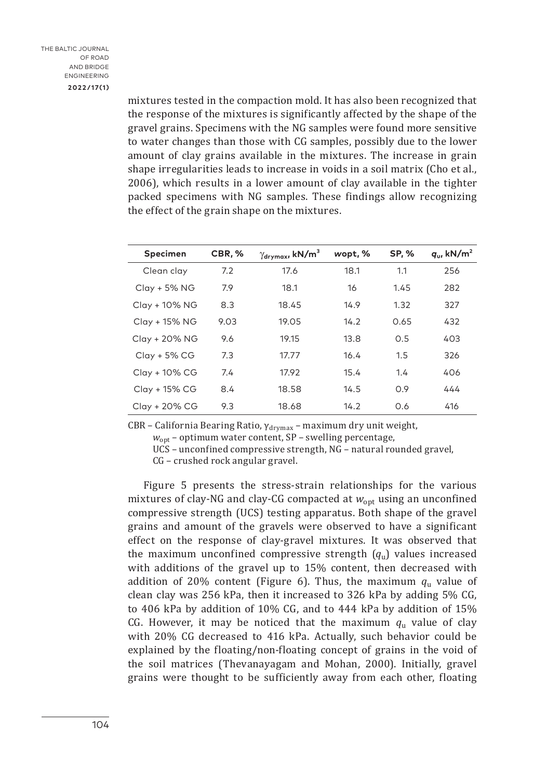mixtures tested in the compaction mold. It has also been recognized that the response of the mixtures is significantly affected by the shape of the gravel grains. Specimens with the NG samples were found more sensitive to water changes than those with CG samples, possibly due to the lower amount of clay grains available in the mixtures. The increase in grain shape irregularities leads to increase in voids in a soil matrix (Cho et al., 2006), which results in a lower amount of clay available in the tighter packed specimens with NG samples. These findings allow recognizing the effect of the grain shape on the mixtures.

| <b>Specimen</b> | CBR, % | $\gamma_{\rm drymax}$ , kN/m <sup>3</sup> | wopt, % | <b>SP, %</b> | $q_{\rm u}$ kN/m <sup>2</sup> |
|-----------------|--------|-------------------------------------------|---------|--------------|-------------------------------|
| Clean clay      | 7.2    | 17.6                                      | 18.1    | 1.1          | 256                           |
| Clay + 5% NG    | 7.9    | 18.1                                      | 16      | 1.45         | 282                           |
| Clay + 10% NG   | 8.3    | 18.45                                     | 14.9    | 1.32         | 327                           |
| Clay + 15% NG   | 9.03   | 19.05                                     | 14.2    | 0.65         | 432                           |
| Clay + 20% NG   | 9.6    | 19.15                                     | 13.8    | 0.5          | 403                           |
| $Clay + 5\% CG$ | 7.3    | 17.77                                     | 16.4    | 1.5          | 326                           |
| Clay + 10% CG   | 7.4    | 17.92                                     | 15.4    | 1.4          | 406                           |
| Clay + 15% CG   | 8.4    | 18.58                                     | 14.5    | 0.9          | 444                           |
| Clay + 20% CG   | 9.3    | 18.68                                     | 14.2    | 0.6          | 416                           |

CBR – California Bearing Ratio,  $\gamma_{\text{drymax}}$  – maximum dry unit weight,

*w*opt – optimum water content, SP – swelling percentage,

UCS – unconfined compressive strength, NG – natural rounded gravel,

CG – crushed rock angular gravel.

Figure 5 presents the stress-strain relationships for the various mixtures of clay-NG and clay-CG compacted at  $w_{\text{opt}}$  using an unconfined compressive strength (UCS) testing apparatus. Both shape of the gravel grains and amount of the gravels were observed to have a significant effect on the response of clay-gravel mixtures. It was observed that the maximum unconfined compressive strength (*q*u) values increased with additions of the gravel up to 15% content, then decreased with addition of 20% content (Figure 6). Thus, the maximum  $q_u$  value of clean clay was 256 kPa, then it increased to 326 kPa by adding 5% CG, to 406 kPa by addition of 10% CG, and to 444 kPa by addition of 15% CG. However, it may be noticed that the maximum  $q_u$  value of clay with 20% CG decreased to 416 kPa. Actually, such behavior could be explained by the floating/non-floating concept of grains in the void of the soil matrices (Thevanayagam and Mohan, 2000). Initially, gravel grains were thought to be sufficiently away from each other, floating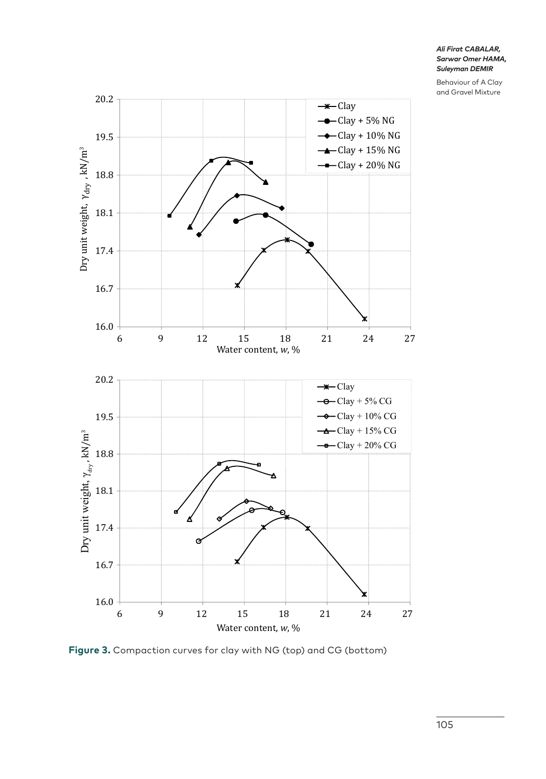Behaviour of A Clay and Gravel Mixture



**Figure 3.** Compaction curves for clay with NG (top) and CG (bottom)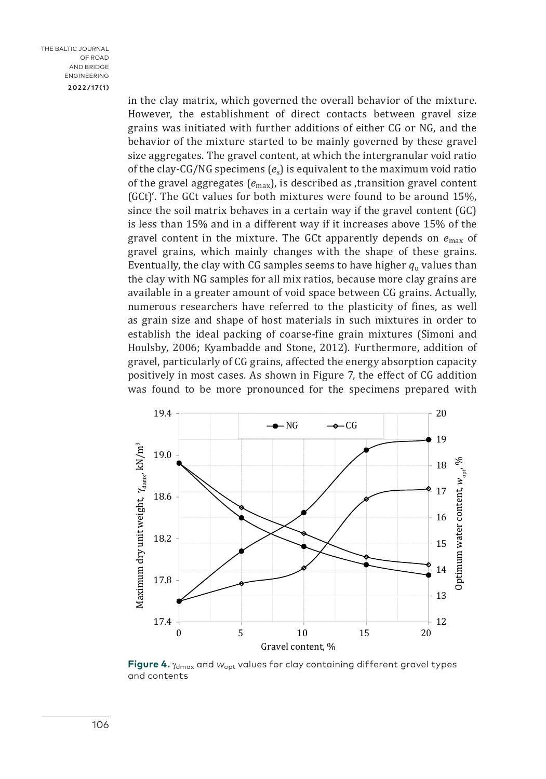in the clay matrix, which governed the overall behavior of the mixture. However, the establishment of direct contacts between gravel size grains was initiated with further additions of either CG or NG, and the behavior of the mixture started to be mainly governed by these gravel size aggregates. The gravel content, at which the intergranular void ratio of the clay-CG/NG specimens (*e*s) is equivalent to the maximum void ratio of the gravel aggregates  $(e_{\text{max}})$ , is described as transition gravel content (GCt)'. The GCt values for both mixtures were found to be around 15%, since the soil matrix behaves in a certain way if the gravel content (GC) is less than 15% and in a different way if it increases above 15% of the gravel content in the mixture. The GCt apparently depends on *e*max of gravel grains, which mainly changes with the shape of these grains. Eventually, the clay with CG samples seems to have higher  $q<sub>u</sub>$  values than the clay with NG samples for all mix ratios, because more clay grains are available in a greater amount of void space between CG grains. Actually, numerous researchers have referred to the plasticity of fines, as well as grain size and shape of host materials in such mixtures in order to establish the ideal packing of coarse-fine grain mixtures (Simoni and Houlsby, 2006; Kyambadde and Stone, 2012). Furthermore, addition of gravel, particularly of CG grains, affected the energy absorption capacity positively in most cases. As shown in Figure 7, the effect of CG addition was found to be more pronounced for the specimens prepared with



**Figure 4.**  $\gamma_{\text{dmax}}$  and  $w_{\text{opt}}$  values for clay containing different gravel types and contents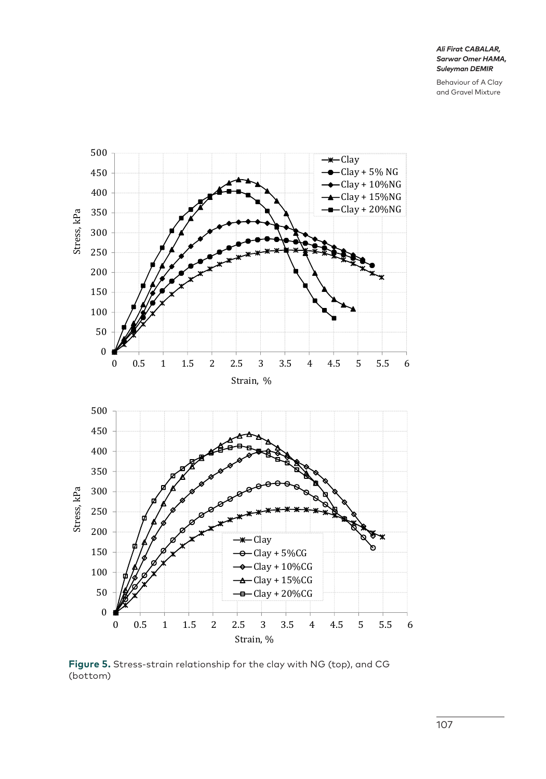Behaviour of A Clay and Gravel Mixture



**Figure 5.** Stress-strain relationship for the clay with NG (top), and CG (bottom)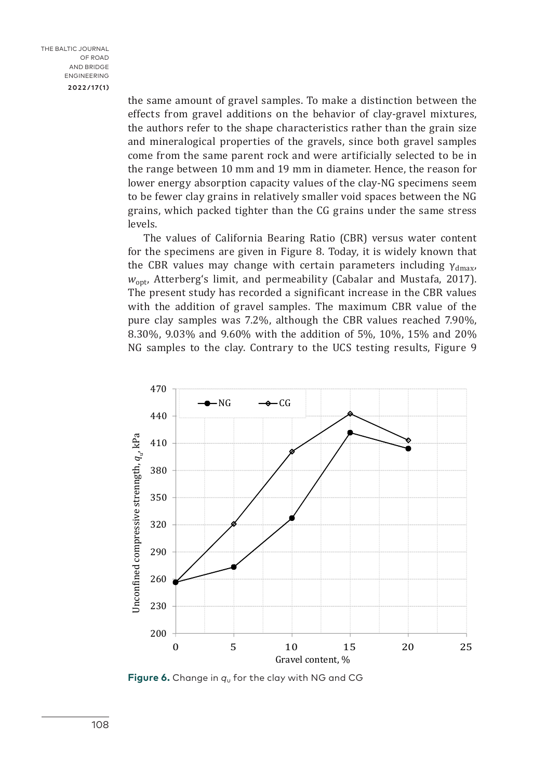the same amount of gravel samples. To make a distinction between the effects from gravel additions on the behavior of clay-gravel mixtures, the authors refer to the shape characteristics rather than the grain size and mineralogical properties of the gravels, since both gravel samples come from the same parent rock and were artificially selected to be in the range between 10 mm and 19 mm in diameter. Hence, the reason for lower energy absorption capacity values of the clay-NG specimens seem to be fewer clay grains in relatively smaller void spaces between the NG grains, which packed tighter than the CG grains under the same stress levels.

The values of California Bearing Ratio (CBR) versus water content for the specimens are given in Figure 8. Today, it is widely known that the CBR values may change with certain parameters including  $\gamma_{dmax}$ , *w*opt, Atterberg's limit, and permeability (Cabalar and Mustafa, 2017). The present study has recorded a significant increase in the CBR values with the addition of gravel samples. The maximum CBR value of the pure clay samples was 7.2%, although the CBR values reached 7.90%, 8.30%, 9.03% and 9.60% with the addition of 5%, 10%, 15% and 20% NG samples to the clay. Contrary to the UCS testing results, Figure 9



**Figure 6.** Change in *q*u for the clay with NG and CG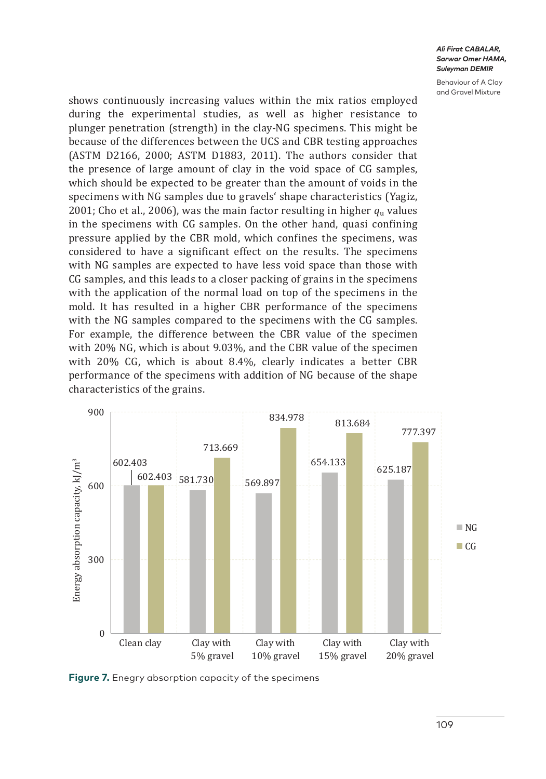Behaviour of A Clay and Gravel Mixture

shows continuously increasing values within the mix ratios employed during the experimental studies, as well as higher resistance to plunger penetration (strength) in the clay-NG specimens. This might be because of the differences between the UCS and CBR testing approaches (ASTM D2166, 2000; ASTM D1883, 2011). The authors consider that the presence of large amount of clay in the void space of CG samples, which should be expected to be greater than the amount of voids in the specimens with NG samples due to gravels' shape characteristics (Yagiz, 2001; Cho et al., 2006), was the main factor resulting in higher *q*u values in the specimens with CG samples. On the other hand, quasi confining pressure applied by the CBR mold, which confines the specimens, was considered to have a significant effect on the results. The specimens with NG samples are expected to have less void space than those with CG samples, and this leads to a closer packing of grains in the specimens with the application of the normal load on top of the specimens in the mold. It has resulted in a higher CBR performance of the specimens with the NG samples compared to the specimens with the CG samples. For example, the difference between the CBR value of the specimen with 20% NG, which is about 9.03%, and the CBR value of the specimen with 20% CG, which is about 8.4%, clearly indicates a better CBR performance of the specimens with addition of NG because of the shape characteristics of the grains.



**Figure 7.** Enegry absorption capacity of the specimens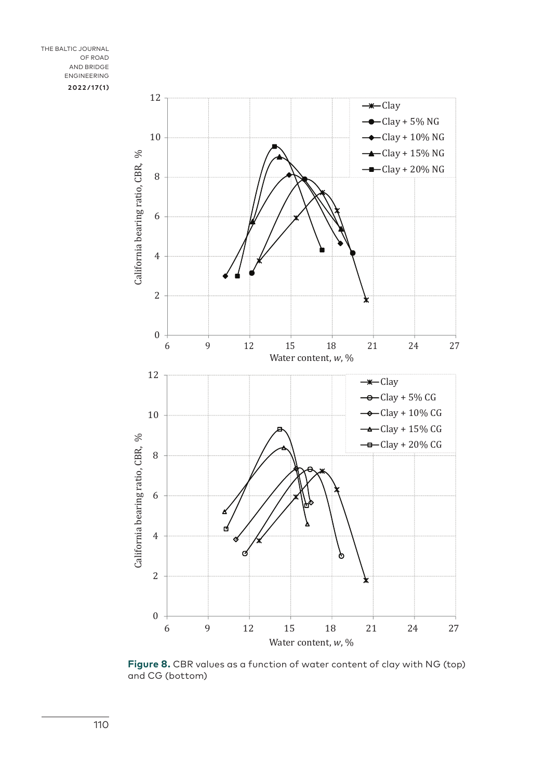

**Figure 8.** CBR values as a function of water content of clay with NG (top) and CG (bottom)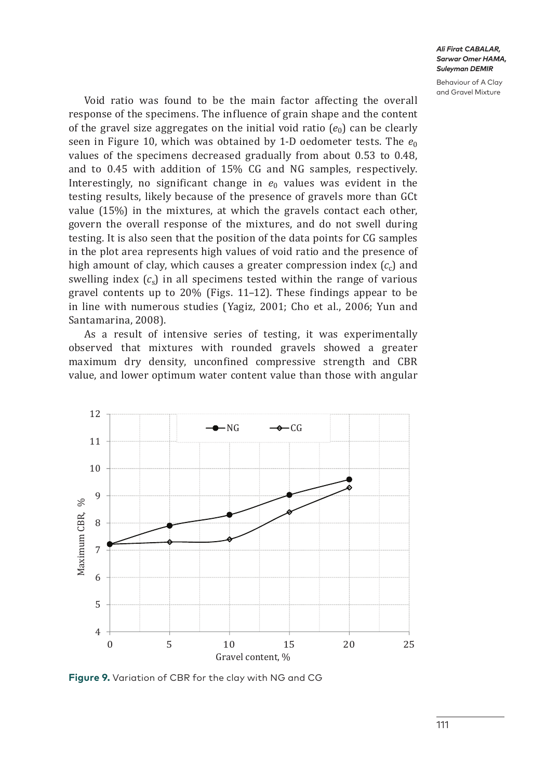Behaviour of A Clay and Gravel Mixture

Void ratio was found to be the main factor affecting the overall response of the specimens. The influence of grain shape and the content of the gravel size aggregates on the initial void ratio  $(e_0)$  can be clearly seen in Figure 10, which was obtained by 1-D oedometer tests. The  $e_0$ values of the specimens decreased gradually from about 0.53 to 0.48, and to 0.45 with addition of 15% CG and NG samples, respectively. Interestingly, no significant change in  $e_0$  values was evident in the testing results, likely because of the presence of gravels more than GCt value (15%) in the mixtures, at which the gravels contact each other, govern the overall response of the mixtures, and do not swell during testing. It is also seen that the position of the data points for CG samples in the plot area represents high values of void ratio and the presence of high amount of clay, which causes a greater compression index  $(c<sub>c</sub>)$  and swelling index  $(c<sub>s</sub>)$  in all specimens tested within the range of various gravel contents up to 20% (Figs. 11–12). These findings appear to be in line with numerous studies (Yagiz, 2001; Cho et al., 2006; Yun and Santamarina, 2008).

As a result of intensive series of testing, it was experimentally observed that mixtures with rounded gravels showed a greater maximum dry density, unconfined compressive strength and CBR value, and lower optimum water content value than those with angular



**Figure 9.** Variation of CBR for the clay with NG and CG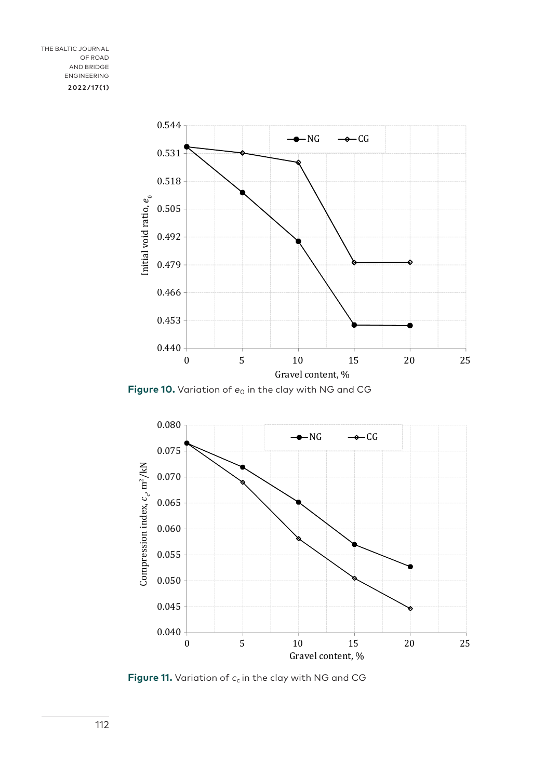

**Figure 10.** Variation of  $e_0$  in the clay with NG and CG



**Figure 11.** Variation of  $c_c$  in the clay with NG and CG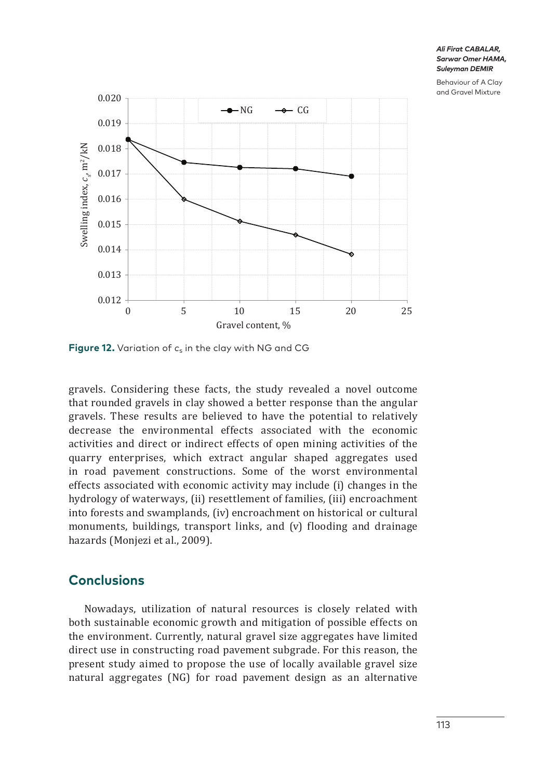Behaviour of A Clay and Gravel Mixture



**Figure 12.** Variation of  $c_s$  in the clay with NG and CG

gravels. Considering these facts, the study revealed a novel outcome that rounded gravels in clay showed a better response than the angular gravels. These results are believed to have the potential to relatively decrease the environmental effects associated with the economic activities and direct or indirect effects of open mining activities of the quarry enterprises, which extract angular shaped aggregates used in road pavement constructions. Some of the worst environmental effects associated with economic activity may include (i) changes in the hydrology of waterways, (ii) resettlement of families, (iii) encroachment into forests and swamplands, (iv) encroachment on historical or cultural monuments, buildings, transport links, and (v) flooding and drainage hazards (Monjezi et al., 2009).

# **Conclusions**

Nowadays, utilization of natural resources is closely related with both sustainable economic growth and mitigation of possible effects on the environment. Currently, natural gravel size aggregates have limited direct use in constructing road pavement subgrade. For this reason, the present study aimed to propose the use of locally available gravel size natural aggregates (NG) for road pavement design as an alternative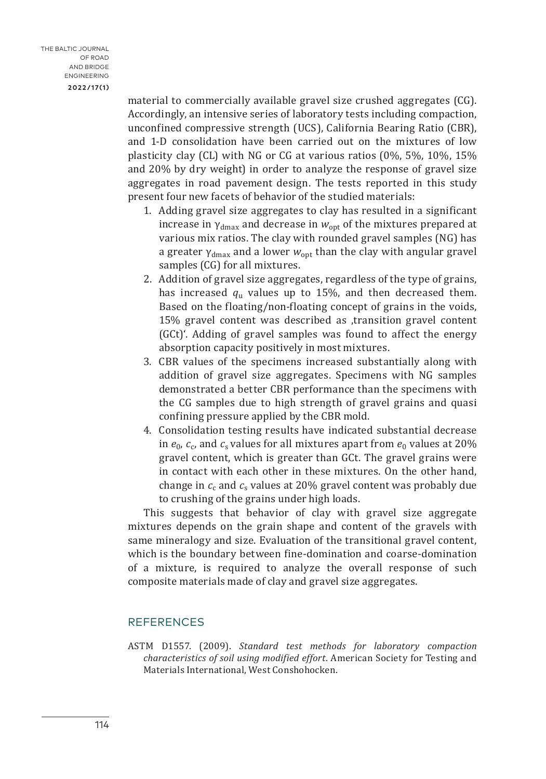material to commercially available gravel size crushed aggregates (CG). Accordingly, an intensive series of laboratory tests including compaction, unconfined compressive strength (UCS), California Bearing Ratio (CBR), and 1-D consolidation have been carried out on the mixtures of low plasticity clay (CL) with NG or CG at various ratios (0%, 5%, 10%, 15% and 20% by dry weight) in order to analyze the response of gravel size aggregates in road pavement design. The tests reported in this study present four new facets of behavior of the studied materials:

- 1. Adding gravel size aggregates to clay has resulted in a significant increase in  $\gamma_{\text{dmax}}$  and decrease in  $w_{\text{ont}}$  of the mixtures prepared at various mix ratios. The clay with rounded gravel samples (NG) has a greater  $\gamma_{\text{dmax}}$  and a lower  $w_{\text{opt}}$  than the clay with angular gravel samples (CG) for all mixtures.
- 2. Addition of gravel size aggregates, regardless of the type of grains, has increased *q*u values up to 15%, and then decreased them. Based on the floating/non-floating concept of grains in the voids, 15% gravel content was described as ,transition gravel content (GCt)'. Adding of gravel samples was found to affect the energy absorption capacity positively in most mixtures.
- 3. CBR values of the specimens increased substantially along with addition of gravel size aggregates. Specimens with NG samples demonstrated a better CBR performance than the specimens with the CG samples due to high strength of gravel grains and quasi confining pressure applied by the CBR mold.
- 4. Consolidation testing results have indicated substantial decrease in  $e_0$ ,  $c_c$ , and  $c_s$  values for all mixtures apart from  $e_0$  values at 20% gravel content, which is greater than GCt. The gravel grains were in contact with each other in these mixtures. On the other hand, change in  $c_c$  and  $c_s$  values at 20% gravel content was probably due to crushing of the grains under high loads.

This suggests that behavior of clay with gravel size aggregate mixtures depends on the grain shape and content of the gravels with same mineralogy and size. Evaluation of the transitional gravel content, which is the boundary between fine-domination and coarse-domination of a mixture, is required to analyze the overall response of such composite materials made of clay and gravel size aggregates.

### REFERENCES

ASTM D1557. (2009). *Standard test methods for laboratory compaction characteristics of soil using modified effort*. American Society for Testing and Materials International, West Conshohocken.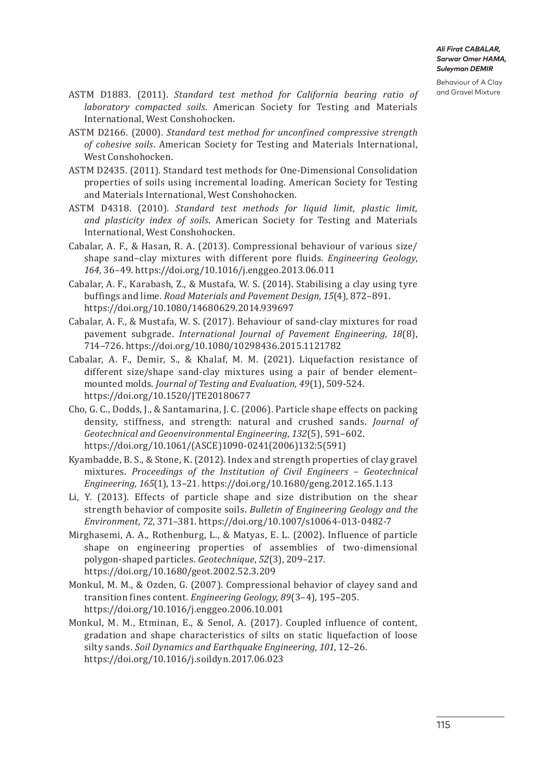Behaviour of A Clay

- ASTM D1883. (2011). *Standard test method for California bearing ratio of* and Gravel Mixture *laboratory compacted soils*. American Society for Testing and Materials International, West Conshohocken.
- ASTM D2166. (2000). *Standard test method for unconfined compressive strength of cohesive soils*. American Society for Testing and Materials International, West Conshohocken.
- ASTM D2435. (2011). Standard test methods for One-Dimensional Consolidation properties of soils using incremental loading. American Society for Testing and Materials International, West Conshohocken.
- ASTM D4318. (2010). *Standard test methods for liquid limit, plastic limit, and plasticity index of soils*. American Society for Testing and Materials International, West Conshohocken.
- Cabalar, A. F., & Hasan, R. A. (2013). Compressional behaviour of various size/ shape sand–clay mixtures with different pore fluids. *Engineering Geology*, *164*, 36–49.<https://doi.org/10.1016/j.enggeo.2013.06.011>
- Cabalar, A. F., Karabash, Z., & Mustafa, W. S. (2014). Stabilising a clay using tyre buffings and lime. *Road Materials and Pavement Design*, *15*(4), 872–891. <https://doi.org/10.1080/14680629.2014.939697>
- Cabalar, A. F., & Mustafa, W. S. (2017). Behaviour of sand-clay mixtures for road pavement subgrade. *International Journal of Pavement Engineering*, *18*(8), 714–726.<https://doi.org/10.1080/10298436.2015.1121782>
- Cabalar, A. F., Demir, S., & Khalaf, M. M. (2021). Liquefaction resistance of different size/shape sand-clay mixtures using a pair of bender element– mounted molds. *Journal of Testing and Evaluation*, *49*(1), 509-524. https://doi.org/10.1520/JTE20180677
- Cho, G. C., Dodds, J., & Santamarina, J. C. (2006). Particle shape effects on packing density, stiffness, and strength: natural and crushed sands. *Journal of Geotechnical and Geoenvironmental Engineering*, *132*(5), 591–602. [https://doi.org/10.1061/\(ASCE\)1090-0241\(2006\)132:5\(591\)](https://doi.org/10.1061/(ASCE)1090-0241(2006)132:5(591))
- Kyambadde, B. S., & Stone, K. (2012). Index and strength properties of clay gravel mixtures. *Proceedings of the Institution of Civil Engineers – Geotechnical Engineering*, *165*(1), 13–21. <https://doi.org/10.1680/geng.2012.165.1.13>
- Li, Y. (2013). Effects of particle shape and size distribution on the shear strength behavior of composite soils. *Bulletin of Engineering Geology and the Environment*, *72*, 371–381. <https://doi.org/10.1007/s10064-013-0482-7>
- Mirghasemi, A. A., Rothenburg, L., & Matyas, E. L. (2002). Influence of particle shape on engineering properties of assemblies of two-dimensional polygon-shaped particles. *Geotechnique*, *52*(3), 209–217. <https://doi.org/10.1680/geot.2002.52.3.209>
- Monkul, M. M., & Ozden, G. (2007). Compressional behavior of clayey sand and transition fines content. *Engineering Geology*, *89*(3–4), 195–205. <https://doi.org/10.1016/j.enggeo.2006.10.001>
- Monkul, M. M., Etminan, E., & Senol, A. (2017). Coupled influence of content, gradation and shape characteristics of silts on static liquefaction of loose silty sands. *Soil Dynamics and Earthquake Engineering*, *101*, 12–26. <https://doi.org/10.1016/j.soildyn.2017.06.023>